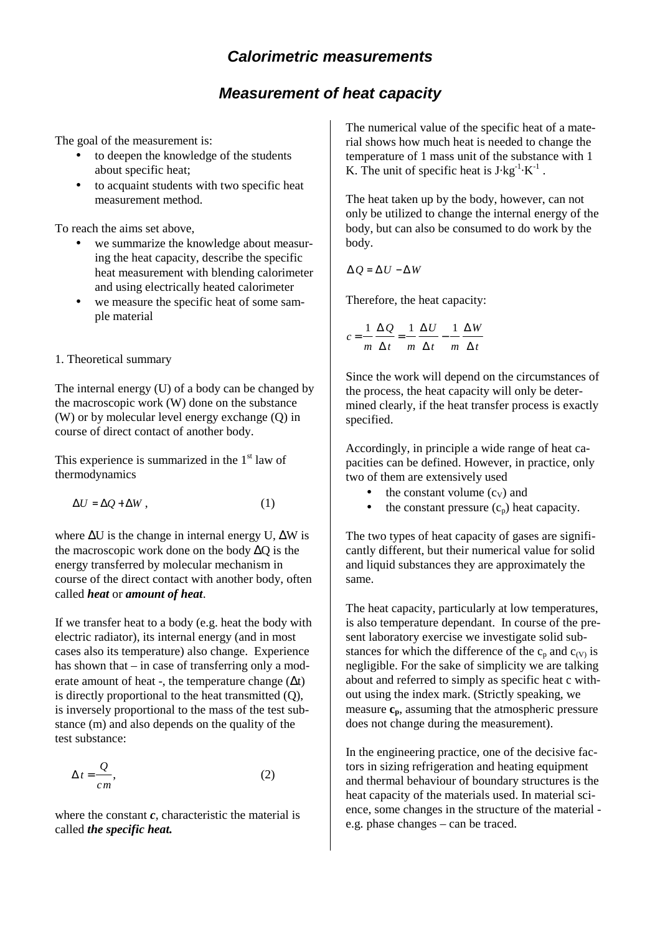# **Measurement of heat capacity**

The goal of the measurement is:

- to deepen the knowledge of the students about specific heat;
- to acquaint students with two specific heat measurement method.

To reach the aims set above,

- we summarize the knowledge about measuring the heat capacity, describe the specific heat measurement with blending calorimeter and using electrically heated calorimeter
- we measure the specific heat of some sample material

### 1. Theoretical summary

The internal energy (U) of a body can be changed by the macroscopic work (W) done on the substance (W) or by molecular level energy exchange (Q) in course of direct contact of another body.

This experience is summarized in the  $1<sup>st</sup>$  law of thermodynamics

$$
\Delta U = \Delta Q + \Delta W \,, \tag{1}
$$

where ∆U is the change in internal energy U, ∆W is the macroscopic work done on the body ∆Q is the energy transferred by molecular mechanism in course of the direct contact with another body, often called *heat* or *amount of heat*.

If we transfer heat to a body (e.g. heat the body with electric radiator), its internal energy (and in most cases also its temperature) also change. Experience has shown that – in case of transferring only a moderate amount of heat -, the temperature change  $(\Delta t)$ is directly proportional to the heat transmitted (Q), is inversely proportional to the mass of the test substance (m) and also depends on the quality of the test substance:

$$
\Delta t = \frac{Q}{cm},\tag{2}
$$

where the constant *c*, characteristic the material is called *the specific heat.*

The numerical value of the specific heat of a material shows how much heat is needed to change the temperature of 1 mass unit of the substance with 1 K. The unit of specific heat is  $J \, kg^{-1} \cdot K^{-1}$ .

The heat taken up by the body, however, can not only be utilized to change the internal energy of the body, but can also be consumed to do work by the body.

$$
\Delta Q = \Delta U - \Delta W
$$

Therefore, the heat capacity:

$$
c = \frac{1}{m} \frac{\Delta Q}{\Delta t} = \frac{1}{m} \frac{\Delta U}{\Delta t} - \frac{1}{m} \frac{\Delta W}{\Delta t}
$$

Since the work will depend on the circumstances of the process, the heat capacity will only be determined clearly, if the heat transfer process is exactly specified.

Accordingly, in principle a wide range of heat capacities can be defined. However, in practice, only two of them are extensively used

- the constant volume  $(c_V)$  and
- the constant pressure  $(c_n)$  heat capacity.

The two types of heat capacity of gases are significantly different, but their numerical value for solid and liquid substances they are approximately the same.

The heat capacity, particularly at low temperatures, is also temperature dependant. In course of the present laboratory exercise we investigate solid substances for which the difference of the  $c_p$  and  $c_{(V)}$  is negligible. For the sake of simplicity we are talking about and referred to simply as specific heat c without using the index mark. (Strictly speaking, we measure  $c_p$ , assuming that the atmospheric pressure does not change during the measurement).

In the engineering practice, one of the decisive factors in sizing refrigeration and heating equipment and thermal behaviour of boundary structures is the heat capacity of the materials used. In material science, some changes in the structure of the material e.g. phase changes – can be traced.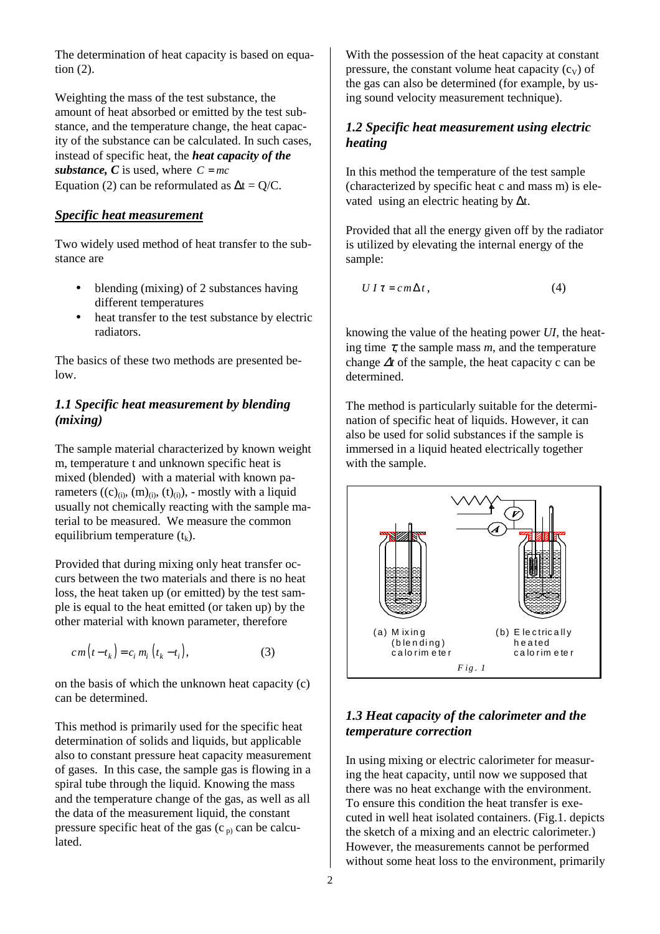The determination of heat capacity is based on equation (2).

Weighting the mass of the test substance, the amount of heat absorbed or emitted by the test substance, and the temperature change, the heat capacity of the substance can be calculated. In such cases, instead of specific heat, the *heat capacity of the substance, C* is used, where  $C = mc$ Equation (2) can be reformulated as  $\Delta t = Q/C$ .

### *Specific heat measurement*

Two widely used method of heat transfer to the substance are

- blending (mixing) of 2 substances having different temperatures
- heat transfer to the test substance by electric radiators.

The basics of these two methods are presented below.

### *1.1 Specific heat measurement by blending (mixing)*

The sample material characterized by known weight m, temperature t and unknown specific heat is mixed (blended) with a material with known parameters  $((c)_{(i)}, (m)_{(i)}, (t)_{(i)})$ , - mostly with a liquid usually not chemically reacting with the sample material to be measured. We measure the common equilibrium temperature  $(t_k)$ .

Provided that during mixing only heat transfer occurs between the two materials and there is no heat loss, the heat taken up (or emitted) by the test sample is equal to the heat emitted (or taken up) by the other material with known parameter, therefore

$$
cm(t-tk) = ci mi (tk-ti),
$$
\n(3)

on the basis of which the unknown heat capacity (c) can be determined.

This method is primarily used for the specific heat determination of solids and liquids, but applicable also to constant pressure heat capacity measurement of gases. In this case, the sample gas is flowing in a spiral tube through the liquid. Knowing the mass and the temperature change of the gas, as well as all the data of the measurement liquid, the constant pressure specific heat of the gas  $(c_p)$  can be calculated.

With the possession of the heat capacity at constant pressure, the constant volume heat capacity  $(c_v)$  of the gas can also be determined (for example, by using sound velocity measurement technique).

# *1.2 Specific heat measurement using electric heating*

In this method the temperature of the test sample (characterized by specific heat c and mass m) is elevated using an electric heating by ∆t.

Provided that all the energy given off by the radiator is utilized by elevating the internal energy of the sample:

$$
UI\tau = cm\Delta t, \qquad (4)
$$

knowing the value of the heating power *UI*, the heating time  $\tau$ , the sample mass *m*, and the temperature change ∆*t* of the sample, the heat capacity c can be determined.

The method is particularly suitable for the determination of specific heat of liquids. However, it can also be used for solid substances if the sample is immersed in a liquid heated electrically together with the sample.



# *1.3 Heat capacity of the calorimeter and the temperature correction*

In using mixing or electric calorimeter for measuring the heat capacity, until now we supposed that there was no heat exchange with the environment. To ensure this condition the heat transfer is executed in well heat isolated containers. (Fig.1. depicts the sketch of a mixing and an electric calorimeter.) However, the measurements cannot be performed without some heat loss to the environment, primarily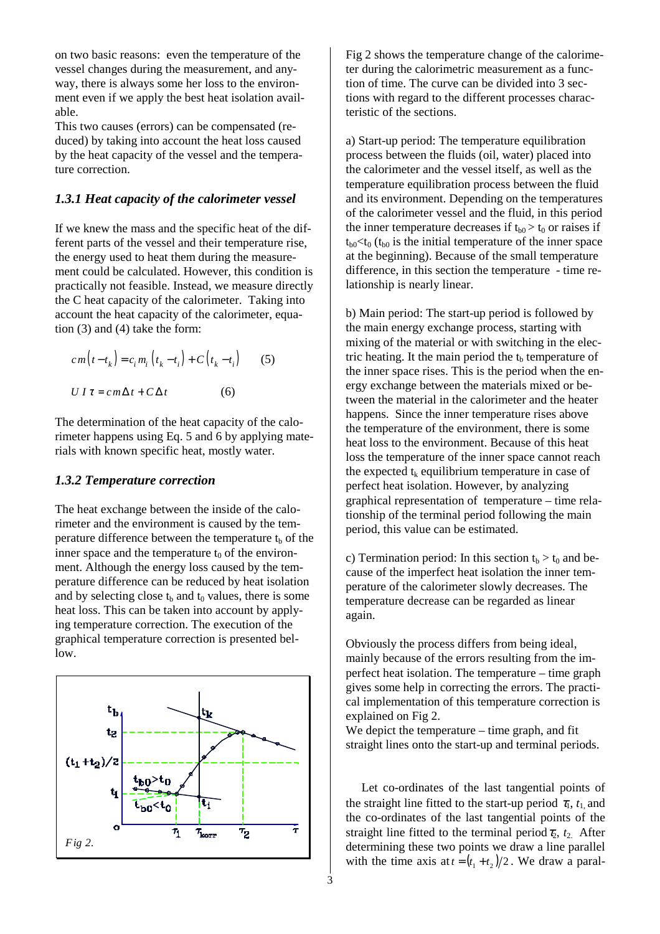on two basic reasons: even the temperature of the vessel changes during the measurement, and anyway, there is always some her loss to the environment even if we apply the best heat isolation available.

This two causes (errors) can be compensated (reduced) by taking into account the heat loss caused by the heat capacity of the vessel and the temperature correction.

### *1.3.1 Heat capacity of the calorimeter vessel*

If we knew the mass and the specific heat of the different parts of the vessel and their temperature rise, the energy used to heat them during the measurement could be calculated. However, this condition is practically not feasible. Instead, we measure directly the C heat capacity of the calorimeter. Taking into account the heat capacity of the calorimeter, equation (3) and (4) take the form:

$$
cm(t-t_k) = c_i m_i (t_k - t_i) + C(t_k - t_i)
$$
 (5)  

$$
U I \tau = cm \Delta t + C \Delta t
$$
 (6)

The determination of the heat capacity of the calorimeter happens using Eq. 5 and 6 by applying materials with known specific heat, mostly water.

# *1.3.2 Temperature correction*

The heat exchange between the inside of the calorimeter and the environment is caused by the temperature difference between the temperature  $t<sub>b</sub>$  of the inner space and the temperature  $t_0$  of the environment. Although the energy loss caused by the temperature difference can be reduced by heat isolation and by selecting close  $t<sub>b</sub>$  and  $t<sub>0</sub>$  values, there is some heat loss. This can be taken into account by applying temperature correction. The execution of the graphical temperature correction is presented bellow.



Fig 2 shows the temperature change of the calorimeter during the calorimetric measurement as a function of time. The curve can be divided into 3 sections with regard to the different processes characteristic of the sections.

a) Start-up period: The temperature equilibration process between the fluids (oil, water) placed into the calorimeter and the vessel itself, as well as the temperature equilibration process between the fluid and its environment. Depending on the temperatures of the calorimeter vessel and the fluid, in this period the inner temperature decreases if  $t_{b0} > t_0$  or raises if  $t_{b0} < t_0$  ( $t_{b0}$  is the initial temperature of the inner space at the beginning). Because of the small temperature difference, in this section the temperature - time relationship is nearly linear.

b) Main period: The start-up period is followed by the main energy exchange process, starting with mixing of the material or with switching in the electric heating. It the main period the  $t<sub>b</sub>$  temperature of the inner space rises. This is the period when the energy exchange between the materials mixed or between the material in the calorimeter and the heater happens. Since the inner temperature rises above the temperature of the environment, there is some heat loss to the environment. Because of this heat loss the temperature of the inner space cannot reach the expected  $t_k$  equilibrium temperature in case of perfect heat isolation. However, by analyzing graphical representation of temperature – time relationship of the terminal period following the main period, this value can be estimated.

c) Termination period: In this section  $t_b > t_0$  and because of the imperfect heat isolation the inner temperature of the calorimeter slowly decreases. The temperature decrease can be regarded as linear again.

Obviously the process differs from being ideal, mainly because of the errors resulting from the imperfect heat isolation. The temperature – time graph gives some help in correcting the errors. The practical implementation of this temperature correction is explained on Fig 2.

We depict the temperature – time graph, and fit straight lines onto the start-up and terminal periods.

Let co-ordinates of the last tangential points of the straight line fitted to the start-up period  $\tau_1$ ,  $t_1$  and the co-ordinates of the last tangential points of the straight line fitted to the terminal period  $\tau_2$ ,  $t_2$ . After determining these two points we draw a line parallel with the time axis at  $t = (t_1 + t_2)/2$ . We draw a paral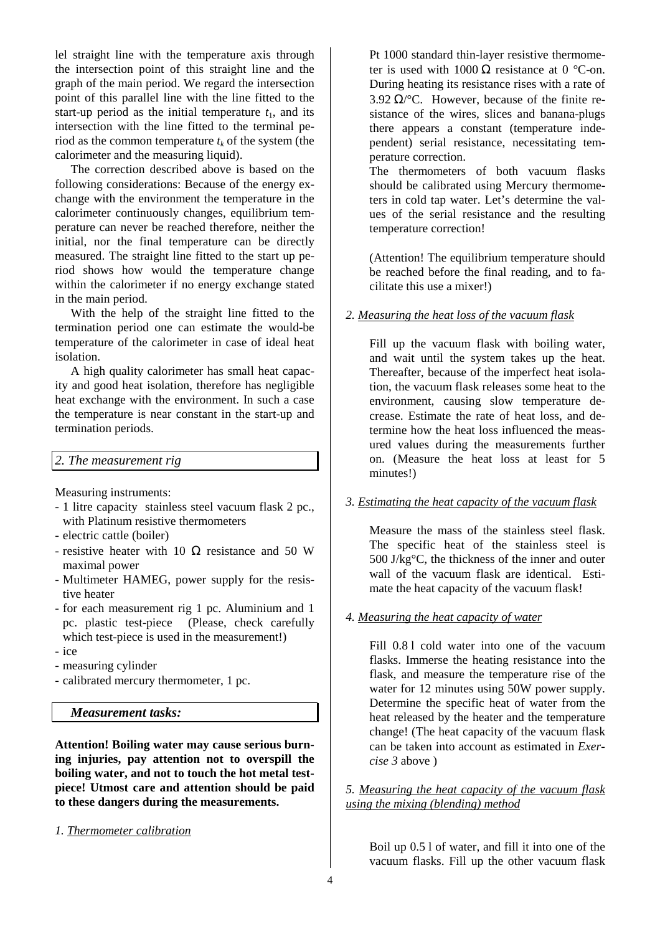lel straight line with the temperature axis through the intersection point of this straight line and the graph of the main period. We regard the intersection point of this parallel line with the line fitted to the start-up period as the initial temperature  $t_1$ , and its intersection with the line fitted to the terminal period as the common temperature  $t_k$  of the system (the calorimeter and the measuring liquid).

The correction described above is based on the following considerations: Because of the energy exchange with the environment the temperature in the calorimeter continuously changes, equilibrium temperature can never be reached therefore, neither the initial, nor the final temperature can be directly measured. The straight line fitted to the start up period shows how would the temperature change within the calorimeter if no energy exchange stated in the main period.

With the help of the straight line fitted to the termination period one can estimate the would-be temperature of the calorimeter in case of ideal heat isolation.

A high quality calorimeter has small heat capacity and good heat isolation, therefore has negligible heat exchange with the environment. In such a case the temperature is near constant in the start-up and termination periods.

### *2. The measurement rig*

Measuring instruments:

- 1 litre capacity stainless steel vacuum flask 2 pc., with Platinum resistive thermometers
- electric cattle (boiler)
- resistive heater with 10  $\Omega$  resistance and 50 W maximal power
- Multimeter HAMEG, power supply for the resistive heater
- for each measurement rig 1 pc. Aluminium and 1 pc. plastic test-piece (Please, check carefully which test-piece is used in the measurement!)
- ice
- measuring cylinder
- calibrated mercury thermometer, 1 pc.

#### *Measurement tasks:*

**Attention! Boiling water may cause serious burning injuries, pay attention not to overspill the boiling water, and not to touch the hot metal testpiece! Utmost care and attention should be paid to these dangers during the measurements.** 

*1. Thermometer calibration*

Pt 1000 standard thin-layer resistive thermometer is used with  $1000 \Omega$  resistance at 0 °C-on. During heating its resistance rises with a rate of 3.92  $\Omega$ /°C. However, because of the finite resistance of the wires, slices and banana-plugs there appears a constant (temperature independent) serial resistance, necessitating temperature correction.

The thermometers of both vacuum flasks should be calibrated using Mercury thermometers in cold tap water. Let's determine the values of the serial resistance and the resulting temperature correction!

(Attention! The equilibrium temperature should be reached before the final reading, and to facilitate this use a mixer!)

### *2. Measuring the heat loss of the vacuum flask*

Fill up the vacuum flask with boiling water, and wait until the system takes up the heat. Thereafter, because of the imperfect heat isolation, the vacuum flask releases some heat to the environment, causing slow temperature decrease. Estimate the rate of heat loss, and determine how the heat loss influenced the measured values during the measurements further on. (Measure the heat loss at least for 5 minutes!)

#### *3. Estimating the heat capacity of the vacuum flask*

Measure the mass of the stainless steel flask. The specific heat of the stainless steel is 500 J/kg°C, the thickness of the inner and outer wall of the vacuum flask are identical. Estimate the heat capacity of the vacuum flask!

#### *4. Measuring the heat capacity of water*

Fill 0.8 l cold water into one of the vacuum flasks. Immerse the heating resistance into the flask, and measure the temperature rise of the water for 12 minutes using 50W power supply. Determine the specific heat of water from the heat released by the heater and the temperature change! (The heat capacity of the vacuum flask can be taken into account as estimated in *Exercise 3* above )

### *5. Measuring the heat capacity of the vacuum flask using the mixing (blending) method*

Boil up 0.5 l of water, and fill it into one of the vacuum flasks. Fill up the other vacuum flask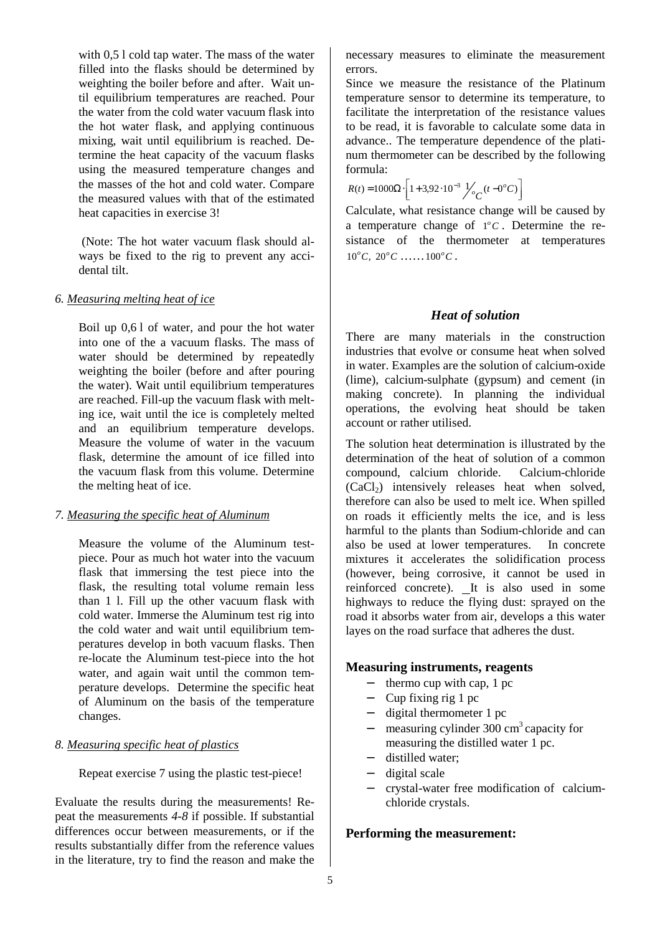with 0,5 l cold tap water. The mass of the water filled into the flasks should be determined by weighting the boiler before and after. Wait until equilibrium temperatures are reached. Pour the water from the cold water vacuum flask into the hot water flask, and applying continuous mixing, wait until equilibrium is reached. Determine the heat capacity of the vacuum flasks using the measured temperature changes and the masses of the hot and cold water. Compare the measured values with that of the estimated heat capacities in exercise 3!

 (Note: The hot water vacuum flask should always be fixed to the rig to prevent any accidental tilt.

#### *6. Measuring melting heat of ice*

Boil up 0,6 l of water, and pour the hot water into one of the a vacuum flasks. The mass of water should be determined by repeatedly weighting the boiler (before and after pouring the water). Wait until equilibrium temperatures are reached. Fill-up the vacuum flask with melting ice, wait until the ice is completely melted and an equilibrium temperature develops. Measure the volume of water in the vacuum flask, determine the amount of ice filled into the vacuum flask from this volume. Determine the melting heat of ice.

#### *7. Measuring the specific heat of Aluminum*

Measure the volume of the Aluminum testpiece. Pour as much hot water into the vacuum flask that immersing the test piece into the flask, the resulting total volume remain less than 1 l. Fill up the other vacuum flask with cold water. Immerse the Aluminum test rig into the cold water and wait until equilibrium temperatures develop in both vacuum flasks. Then re-locate the Aluminum test-piece into the hot water, and again wait until the common temperature develops. Determine the specific heat of Aluminum on the basis of the temperature changes.

### *8. Measuring specific heat of plastics*

Repeat exercise 7 using the plastic test-piece!

Evaluate the results during the measurements! Repeat the measurements *4-8* if possible. If substantial differences occur between measurements, or if the results substantially differ from the reference values in the literature, try to find the reason and make the necessary measures to eliminate the measurement errors.

Since we measure the resistance of the Platinum temperature sensor to determine its temperature, to facilitate the interpretation of the resistance values to be read, it is favorable to calculate some data in advance.. The temperature dependence of the platinum thermometer can be described by the following formula:

$$
R(t) = 1000\Omega \cdot \left[ 1 + 3.92 \cdot 10^{-3} \frac{1}{c} \cdot (t - 0^{\circ} C) \right]
$$

Calculate, what resistance change will be caused by a temperature change of  $1^{\circ}C$ . Determine the resistance of the thermometer at temperatures  $10^{\circ}C$ ,  $20^{\circ}C$  ......  $100^{\circ}C$ .

# *Heat of solution*

There are many materials in the construction industries that evolve or consume heat when solved in water. Examples are the solution of calcium-oxide (lime), calcium-sulphate (gypsum) and cement (in making concrete). In planning the individual operations, the evolving heat should be taken account or rather utilised.

The solution heat determination is illustrated by the determination of the heat of solution of a common compound, calcium chloride. Calcium-chloride  $(CaCl<sub>2</sub>)$  intensively releases heat when solved, therefore can also be used to melt ice. When spilled on roads it efficiently melts the ice, and is less harmful to the plants than Sodium-chloride and can also be used at lower temperatures. In concrete mixtures it accelerates the solidification process (however, being corrosive, it cannot be used in reinforced concrete). It is also used in some highways to reduce the flying dust: sprayed on the road it absorbs water from air, develops a this water layes on the road surface that adheres the dust.

# **Measuring instruments, reagents**

- − thermo cup with cap, 1 pc
- − Cup fixing rig 1 pc
- − digital thermometer 1 pc
- $measuring cylinder 300 cm<sup>3</sup> capacity for$ measuring the distilled water 1 pc.
- − distilled water;
- − digital scale
- − crystal-water free modification of calciumchloride crystals.

### **Performing the measurement:**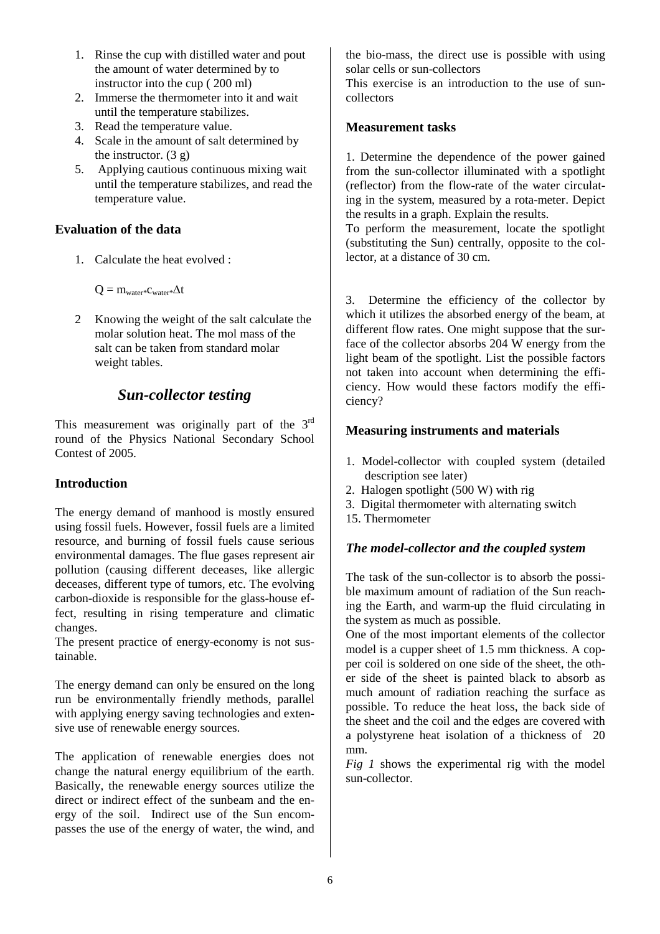- 1. Rinse the cup with distilled water and pout the amount of water determined by to instructor into the cup ( 200 ml)
- 2. Immerse the thermometer into it and wait until the temperature stabilizes.
- 3. Read the temperature value.
- 4. Scale in the amount of salt determined by the instructor.  $(3 \theta)$
- 5. Applying cautious continuous mixing wait until the temperature stabilizes, and read the temperature value.

### **Evaluation of the data**

1. Calculate the heat evolved :

Q = mwater\*cwater\*∆t

2 Knowing the weight of the salt calculate the molar solution heat. The mol mass of the salt can be taken from standard molar weight tables.

# *Sun-collector testing*

This measurement was originally part of the 3<sup>rd</sup> round of the Physics National Secondary School Contest of 2005.

# **Introduction**

The energy demand of manhood is mostly ensured using fossil fuels. However, fossil fuels are a limited resource, and burning of fossil fuels cause serious environmental damages. The flue gases represent air pollution (causing different deceases, like allergic deceases, different type of tumors, etc. The evolving carbon-dioxide is responsible for the glass-house effect, resulting in rising temperature and climatic changes.

The present practice of energy-economy is not sustainable.

The energy demand can only be ensured on the long run be environmentally friendly methods, parallel with applying energy saving technologies and extensive use of renewable energy sources.

The application of renewable energies does not change the natural energy equilibrium of the earth. Basically, the renewable energy sources utilize the direct or indirect effect of the sunbeam and the energy of the soil. Indirect use of the Sun encompasses the use of the energy of water, the wind, and the bio-mass, the direct use is possible with using solar cells or sun-collectors

This exercise is an introduction to the use of suncollectors

### **Measurement tasks**

1. Determine the dependence of the power gained from the sun-collector illuminated with a spotlight (reflector) from the flow-rate of the water circulating in the system, measured by a rota-meter. Depict the results in a graph. Explain the results.

To perform the measurement, locate the spotlight (substituting the Sun) centrally, opposite to the collector, at a distance of 30 cm.

3. Determine the efficiency of the collector by which it utilizes the absorbed energy of the beam, at different flow rates. One might suppose that the surface of the collector absorbs 204 W energy from the light beam of the spotlight. List the possible factors not taken into account when determining the efficiency. How would these factors modify the efficiency?

# **Measuring instruments and materials**

- 1. Model-collector with coupled system (detailed description see later)
- 2. Halogen spotlight (500 W) with rig
- 3. Digital thermometer with alternating switch
- 15. Thermometer

# *The model-collector and the coupled system*

The task of the sun-collector is to absorb the possible maximum amount of radiation of the Sun reaching the Earth, and warm-up the fluid circulating in the system as much as possible.

One of the most important elements of the collector model is a cupper sheet of 1.5 mm thickness. A copper coil is soldered on one side of the sheet, the other side of the sheet is painted black to absorb as much amount of radiation reaching the surface as possible. To reduce the heat loss, the back side of the sheet and the coil and the edges are covered with a polystyrene heat isolation of a thickness of 20 mm.

*Fig 1* shows the experimental rig with the model sun-collector.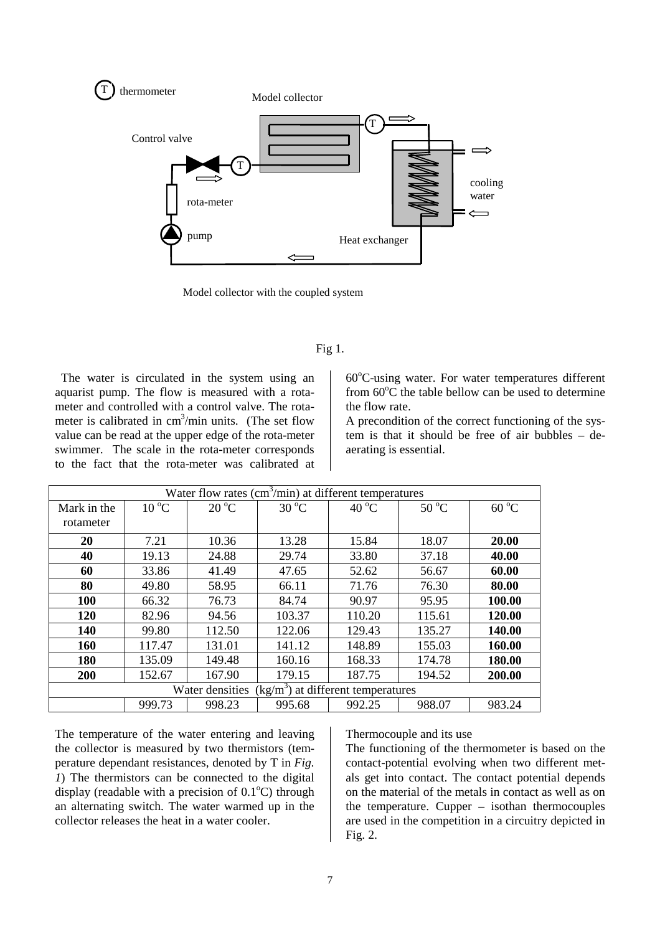

Model collector with the coupled system

#### Fig 1.

 The water is circulated in the system using an aquarist pump. The flow is measured with a rotameter and controlled with a control valve. The rotameter is calibrated in  $cm<sup>3</sup>/min$  units. (The set flow value can be read at the upper edge of the rota-meter swimmer. The scale in the rota-meter corresponds to the fact that the rota-meter was calibrated at

 $60^{\circ}$ C-using water. For water temperatures different from  $60^{\circ}$ C the table bellow can be used to determine the flow rate.

A precondition of the correct functioning of the system is that it should be free of air bubbles – deaerating is essential.

| Water flow rates $(cm3/min)$ at different temperatures        |                |                |                |                |                |                |
|---------------------------------------------------------------|----------------|----------------|----------------|----------------|----------------|----------------|
| Mark in the<br>rotameter                                      | $10^{\circ}$ C | $20^{\circ}$ C | $30^{\circ}$ C | $40^{\circ}$ C | $50^{\circ}$ C | $60^{\circ}$ C |
| 20                                                            | 7.21           | 10.36          | 13.28          | 15.84          | 18.07          | 20.00          |
| 40                                                            | 19.13          | 24.88          | 29.74          | 33.80          | 37.18          | 40.00          |
| 60                                                            | 33.86          | 41.49          | 47.65          | 52.62          | 56.67          | 60.00          |
| 80                                                            | 49.80          | 58.95          | 66.11          | 71.76          | 76.30          | 80.00          |
| 100                                                           | 66.32          | 76.73          | 84.74          | 90.97          | 95.95          | 100.00         |
| 120                                                           | 82.96          | 94.56          | 103.37         | 110.20         | 115.61         | 120.00         |
| 140                                                           | 99.80          | 112.50         | 122.06         | 129.43         | 135.27         | 140.00         |
| 160                                                           | 117.47         | 131.01         | 141.12         | 148.89         | 155.03         | 160.00         |
| 180                                                           | 135.09         | 149.48         | 160.16         | 168.33         | 174.78         | 180.00         |
| 200                                                           | 152.67         | 167.90         | 179.15         | 187.75         | 194.52         | 200.00         |
| $\frac{kg}{m^3}$ at different temperatures<br>Water densities |                |                |                |                |                |                |
|                                                               | 999.73         | 998.23         | 995.68         | 992.25         | 988.07         | 983.24         |

The temperature of the water entering and leaving the collector is measured by two thermistors (temperature dependant resistances, denoted by T in *Fig. 1*) The thermistors can be connected to the digital display (readable with a precision of  $0.1^{\circ}$ C) through an alternating switch. The water warmed up in the collector releases the heat in a water cooler.

#### Thermocouple and its use

The functioning of the thermometer is based on the contact-potential evolving when two different metals get into contact. The contact potential depends on the material of the metals in contact as well as on the temperature. Cupper – isothan thermocouples are used in the competition in a circuitry depicted in Fig. 2.